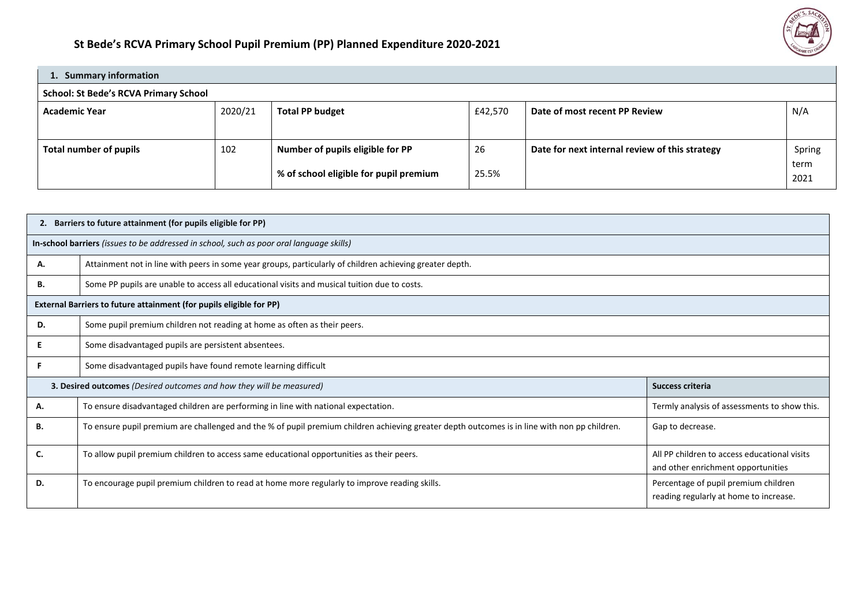

| 1. Summary information                       |         |                                        |         |                                                |        |  |  |  |  |  |  |
|----------------------------------------------|---------|----------------------------------------|---------|------------------------------------------------|--------|--|--|--|--|--|--|
| <b>School: St Bede's RCVA Primary School</b> |         |                                        |         |                                                |        |  |  |  |  |  |  |
| <b>Academic Year</b>                         | 2020/21 | <b>Total PP budget</b>                 | £42,570 | Date of most recent PP Review                  | N/A    |  |  |  |  |  |  |
|                                              |         |                                        |         |                                                |        |  |  |  |  |  |  |
| Total number of pupils                       | 102     | Number of pupils eligible for PP       | 26      | Date for next internal review of this strategy | Spring |  |  |  |  |  |  |
|                                              |         |                                        |         |                                                | term   |  |  |  |  |  |  |
|                                              |         | % of school eligible for pupil premium | 25.5%   |                                                | 2021   |  |  |  |  |  |  |

| 2. | Barriers to future attainment (for pupils eligible for PP)                                                                                   |                                                                                    |  |  |  |  |  |  |  |
|----|----------------------------------------------------------------------------------------------------------------------------------------------|------------------------------------------------------------------------------------|--|--|--|--|--|--|--|
|    | In-school barriers (issues to be addressed in school, such as poor oral language skills)                                                     |                                                                                    |  |  |  |  |  |  |  |
| А. | Attainment not in line with peers in some year groups, particularly of children achieving greater depth.                                     |                                                                                    |  |  |  |  |  |  |  |
| В. | Some PP pupils are unable to access all educational visits and musical tuition due to costs.                                                 |                                                                                    |  |  |  |  |  |  |  |
|    | External Barriers to future attainment (for pupils eligible for PP)                                                                          |                                                                                    |  |  |  |  |  |  |  |
| D. | Some pupil premium children not reading at home as often as their peers.                                                                     |                                                                                    |  |  |  |  |  |  |  |
|    | Some disadvantaged pupils are persistent absentees.                                                                                          |                                                                                    |  |  |  |  |  |  |  |
|    | Some disadvantaged pupils have found remote learning difficult                                                                               |                                                                                    |  |  |  |  |  |  |  |
|    | 3. Desired outcomes (Desired outcomes and how they will be measured)                                                                         | Success criteria                                                                   |  |  |  |  |  |  |  |
| А. | To ensure disadvantaged children are performing in line with national expectation.                                                           | Termly analysis of assessments to show this.                                       |  |  |  |  |  |  |  |
| В. | To ensure pupil premium are challenged and the % of pupil premium children achieving greater depth outcomes is in line with non pp children. | Gap to decrease.                                                                   |  |  |  |  |  |  |  |
| C. | To allow pupil premium children to access same educational opportunities as their peers.                                                     | All PP children to access educational visits<br>and other enrichment opportunities |  |  |  |  |  |  |  |
| D. | To encourage pupil premium children to read at home more regularly to improve reading skills.                                                | Percentage of pupil premium children<br>reading regularly at home to increase.     |  |  |  |  |  |  |  |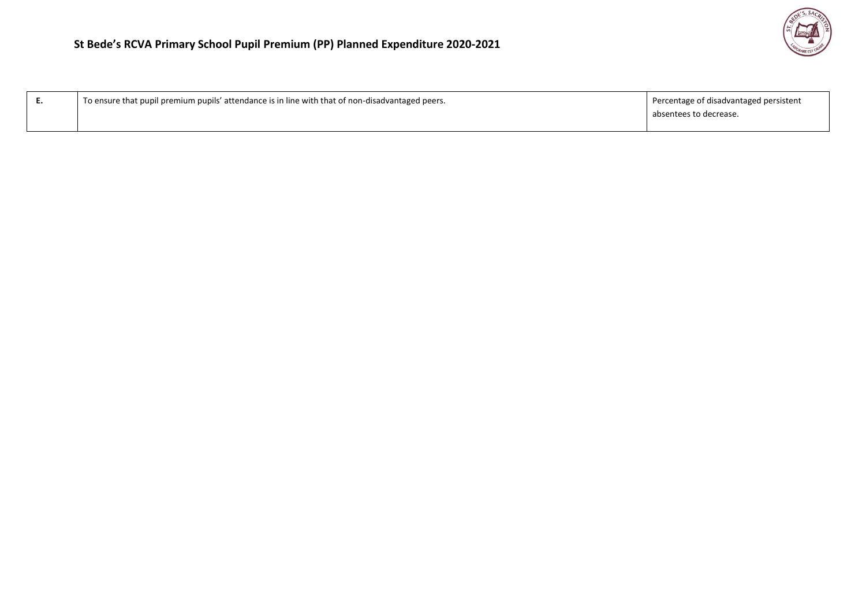| E. | <sup>1</sup> To ensure that pupil premium pupils' attendance is in line with that of non-disadvantaged peers. | Percentage of disadvantaged persistent<br>absentees to decrease. |
|----|---------------------------------------------------------------------------------------------------------------|------------------------------------------------------------------|
|    |                                                                                                               |                                                                  |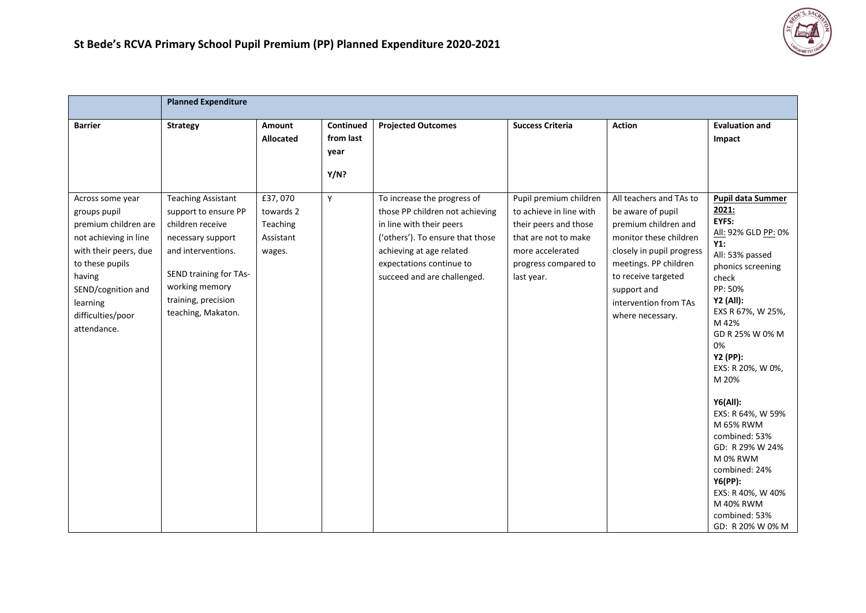

|                                                                                                                                                                                                               | <b>Planned Expenditure</b>                                                                                                                                                                                |                                                         |                                        |                                                                                                                                                                                                                       |                                                                                                                                                              |                                                                                                                                                                                                                                         |                                                                                                                                                                                                                                                                                                                                                                                                                                                                   |
|---------------------------------------------------------------------------------------------------------------------------------------------------------------------------------------------------------------|-----------------------------------------------------------------------------------------------------------------------------------------------------------------------------------------------------------|---------------------------------------------------------|----------------------------------------|-----------------------------------------------------------------------------------------------------------------------------------------------------------------------------------------------------------------------|--------------------------------------------------------------------------------------------------------------------------------------------------------------|-----------------------------------------------------------------------------------------------------------------------------------------------------------------------------------------------------------------------------------------|-------------------------------------------------------------------------------------------------------------------------------------------------------------------------------------------------------------------------------------------------------------------------------------------------------------------------------------------------------------------------------------------------------------------------------------------------------------------|
| <b>Barrier</b>                                                                                                                                                                                                | <b>Strategy</b>                                                                                                                                                                                           | Amount<br>Allocated                                     | Continued<br>from last<br>year<br>Y/N? | <b>Projected Outcomes</b>                                                                                                                                                                                             | <b>Success Criteria</b>                                                                                                                                      | <b>Action</b>                                                                                                                                                                                                                           | <b>Evaluation and</b><br>Impact                                                                                                                                                                                                                                                                                                                                                                                                                                   |
| Across some year<br>groups pupil<br>premium children are<br>not achieving in line<br>with their peers, due<br>to these pupils<br>having<br>SEND/cognition and<br>learning<br>difficulties/poor<br>attendance. | <b>Teaching Assistant</b><br>support to ensure PP<br>children receive<br>necessary support<br>and interventions.<br>SEND training for TAs-<br>working memory<br>training, precision<br>teaching, Makaton. | £37,070<br>towards 2<br>Teaching<br>Assistant<br>wages. | Y                                      | To increase the progress of<br>those PP children not achieving<br>in line with their peers<br>('others'). To ensure that those<br>achieving at age related<br>expectations continue to<br>succeed and are challenged. | Pupil premium children<br>to achieve in line with<br>their peers and those<br>that are not to make<br>more accelerated<br>progress compared to<br>last year. | All teachers and TAs to<br>be aware of pupil<br>premium children and<br>monitor these children<br>closely in pupil progress<br>meetings. PP children<br>to receive targeted<br>support and<br>intervention from TAs<br>where necessary. | <b>Pupil data Summer</b><br>2021:<br>EYFS:<br>All: 92% GLD PP: 0%<br>Y1:<br>All: 53% passed<br>phonics screening<br>check<br>PP: 50%<br><b>Y2 (All):</b><br>EXS R 67%, W 25%,<br>M 42%<br>GD R 25% W 0% M<br>0%<br>Y2 (PP):<br>EXS: R 20%, W 0%,<br>M 20%<br><b>Y6(All):</b><br>EXS: R 64%, W 59%<br>M 65% RWM<br>combined: 53%<br>GD: R 29% W 24%<br>M 0% RWM<br>combined: 24%<br>Y6(PP):<br>EXS: R 40%, W 40%<br>M 40% RWM<br>combined: 53%<br>GD: R 20% W 0% M |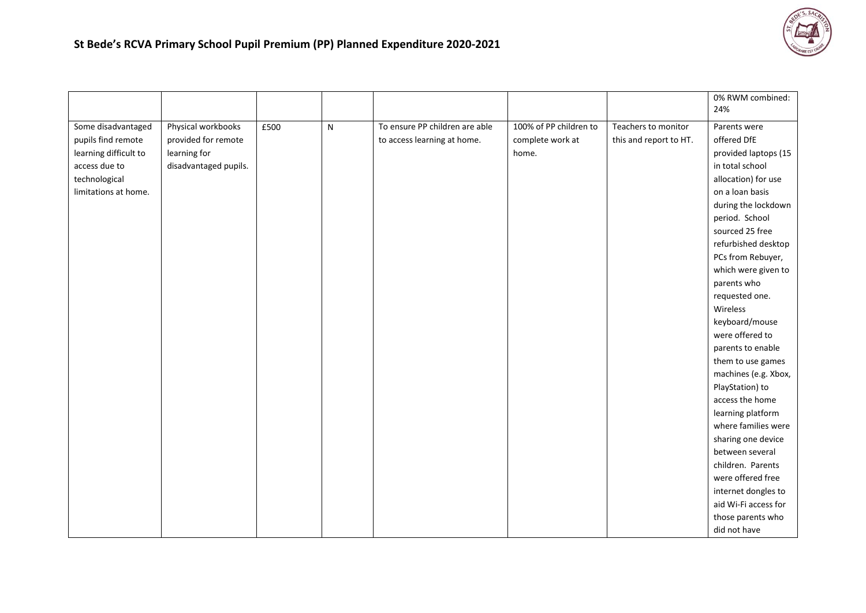

|                       |                       |      |   |                                |                        |                        | 0% RWM combined:<br>24% |
|-----------------------|-----------------------|------|---|--------------------------------|------------------------|------------------------|-------------------------|
|                       |                       |      |   |                                |                        |                        |                         |
| Some disadvantaged    | Physical workbooks    | £500 | N | To ensure PP children are able | 100% of PP children to | Teachers to monitor    | Parents were            |
| pupils find remote    | provided for remote   |      |   | to access learning at home.    | complete work at       | this and report to HT. | offered DfE             |
| learning difficult to | learning for          |      |   |                                | home.                  |                        | provided laptops (15    |
| access due to         | disadvantaged pupils. |      |   |                                |                        |                        | in total school         |
| technological         |                       |      |   |                                |                        |                        | allocation) for use     |
| limitations at home.  |                       |      |   |                                |                        |                        | on a loan basis         |
|                       |                       |      |   |                                |                        |                        | during the lockdown     |
|                       |                       |      |   |                                |                        |                        | period. School          |
|                       |                       |      |   |                                |                        |                        | sourced 25 free         |
|                       |                       |      |   |                                |                        |                        | refurbished desktop     |
|                       |                       |      |   |                                |                        |                        | PCs from Rebuyer,       |
|                       |                       |      |   |                                |                        |                        | which were given to     |
|                       |                       |      |   |                                |                        |                        | parents who             |
|                       |                       |      |   |                                |                        |                        | requested one.          |
|                       |                       |      |   |                                |                        |                        | Wireless                |
|                       |                       |      |   |                                |                        |                        | keyboard/mouse          |
|                       |                       |      |   |                                |                        |                        | were offered to         |
|                       |                       |      |   |                                |                        |                        | parents to enable       |
|                       |                       |      |   |                                |                        |                        | them to use games       |
|                       |                       |      |   |                                |                        |                        | machines (e.g. Xbox,    |
|                       |                       |      |   |                                |                        |                        | PlayStation) to         |
|                       |                       |      |   |                                |                        |                        | access the home         |
|                       |                       |      |   |                                |                        |                        | learning platform       |
|                       |                       |      |   |                                |                        |                        | where families were     |
|                       |                       |      |   |                                |                        |                        | sharing one device      |
|                       |                       |      |   |                                |                        |                        | between several         |
|                       |                       |      |   |                                |                        |                        | children. Parents       |
|                       |                       |      |   |                                |                        |                        | were offered free       |
|                       |                       |      |   |                                |                        |                        | internet dongles to     |
|                       |                       |      |   |                                |                        |                        | aid Wi-Fi access for    |
|                       |                       |      |   |                                |                        |                        | those parents who       |
|                       |                       |      |   |                                |                        |                        | did not have            |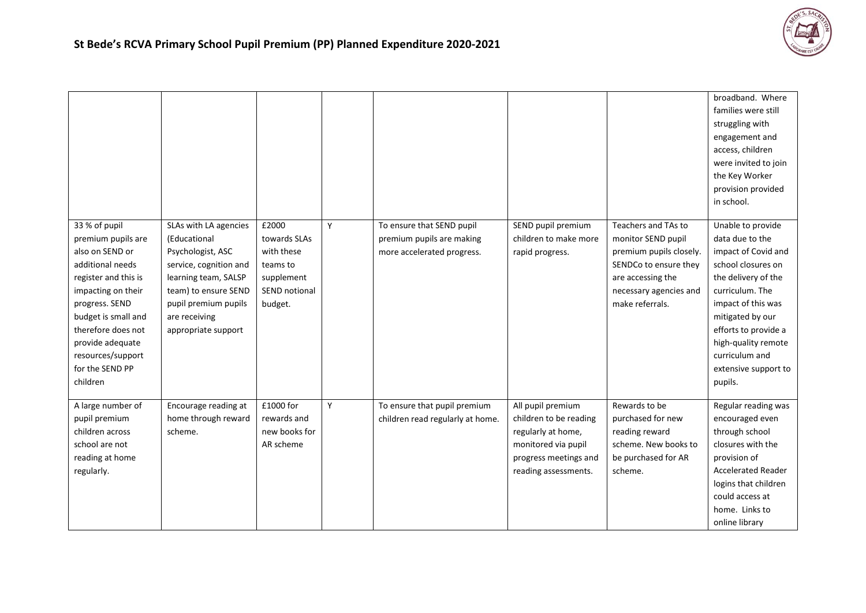

|                                                                                                                                                                                                                                                                 |                                                                                                                                                                                                      |                                                                                           |   |                                                                                      |                                                                                                                                           |                                                                                                                                                                 | broadband. Where<br>families were still<br>struggling with<br>engagement and<br>access, children<br>were invited to join<br>the Key Worker<br>provision provided<br>in school.                                                                                            |
|-----------------------------------------------------------------------------------------------------------------------------------------------------------------------------------------------------------------------------------------------------------------|------------------------------------------------------------------------------------------------------------------------------------------------------------------------------------------------------|-------------------------------------------------------------------------------------------|---|--------------------------------------------------------------------------------------|-------------------------------------------------------------------------------------------------------------------------------------------|-----------------------------------------------------------------------------------------------------------------------------------------------------------------|---------------------------------------------------------------------------------------------------------------------------------------------------------------------------------------------------------------------------------------------------------------------------|
| 33 % of pupil<br>premium pupils are<br>also on SEND or<br>additional needs<br>register and this is<br>impacting on their<br>progress. SEND<br>budget is small and<br>therefore does not<br>provide adequate<br>resources/support<br>for the SEND PP<br>children | SLAs with LA agencies<br>(Educational<br>Psychologist, ASC<br>service, cognition and<br>learning team, SALSP<br>team) to ensure SEND<br>pupil premium pupils<br>are receiving<br>appropriate support | £2000<br>towards SLAs<br>with these<br>teams to<br>supplement<br>SEND notional<br>budget. | Y | To ensure that SEND pupil<br>premium pupils are making<br>more accelerated progress. | SEND pupil premium<br>children to make more<br>rapid progress.                                                                            | Teachers and TAs to<br>monitor SEND pupil<br>premium pupils closely.<br>SENDCo to ensure they<br>are accessing the<br>necessary agencies and<br>make referrals. | Unable to provide<br>data due to the<br>impact of Covid and<br>school closures on<br>the delivery of the<br>curriculum. The<br>impact of this was<br>mitigated by our<br>efforts to provide a<br>high-quality remote<br>curriculum and<br>extensive support to<br>pupils. |
| A large number of<br>pupil premium<br>children across<br>school are not<br>reading at home<br>regularly.                                                                                                                                                        | Encourage reading at<br>home through reward<br>scheme.                                                                                                                                               | £1000 for<br>rewards and<br>new books for<br>AR scheme                                    | Y | To ensure that pupil premium<br>children read regularly at home.                     | All pupil premium<br>children to be reading<br>regularly at home,<br>monitored via pupil<br>progress meetings and<br>reading assessments. | Rewards to be<br>purchased for new<br>reading reward<br>scheme. New books to<br>be purchased for AR<br>scheme.                                                  | Regular reading was<br>encouraged even<br>through school<br>closures with the<br>provision of<br><b>Accelerated Reader</b><br>logins that children<br>could access at<br>home. Links to<br>online library                                                                 |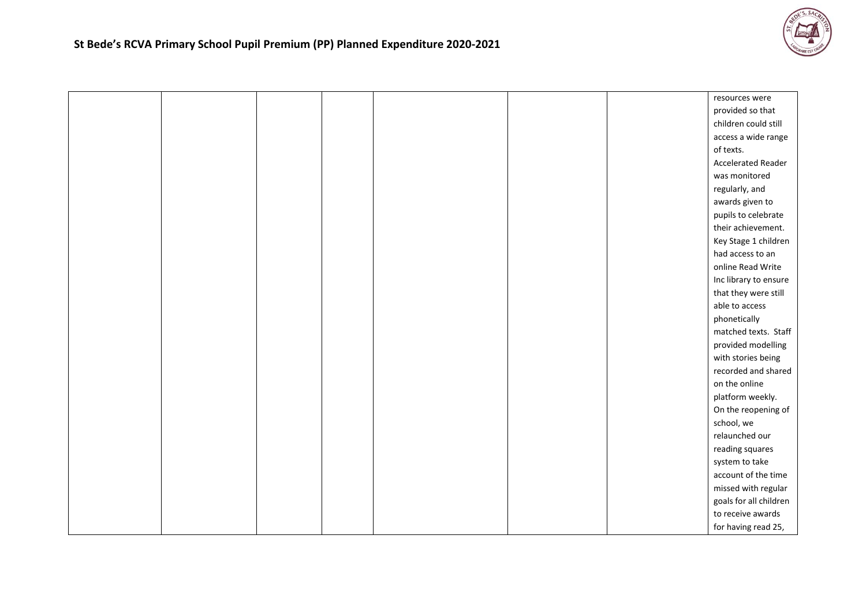

|  |  |  | resources were            |
|--|--|--|---------------------------|
|  |  |  | provided so that          |
|  |  |  | children could still      |
|  |  |  | access a wide range       |
|  |  |  | of texts.                 |
|  |  |  | <b>Accelerated Reader</b> |
|  |  |  | was monitored             |
|  |  |  | regularly, and            |
|  |  |  | awards given to           |
|  |  |  | pupils to celebrate       |
|  |  |  | their achievement.        |
|  |  |  | Key Stage 1 children      |
|  |  |  | had access to an          |
|  |  |  | online Read Write         |
|  |  |  | Inc library to ensure     |
|  |  |  | that they were still      |
|  |  |  | able to access            |
|  |  |  | phonetically              |
|  |  |  | matched texts. Staff      |
|  |  |  | provided modelling        |
|  |  |  | with stories being        |
|  |  |  | recorded and shared       |
|  |  |  | on the online             |
|  |  |  | platform weekly.          |
|  |  |  | On the reopening of       |
|  |  |  | school, we                |
|  |  |  | relaunched our            |
|  |  |  | reading squares           |
|  |  |  | system to take            |
|  |  |  | account of the time       |
|  |  |  | missed with regular       |
|  |  |  | goals for all children    |
|  |  |  | to receive awards         |
|  |  |  | for having read 25,       |